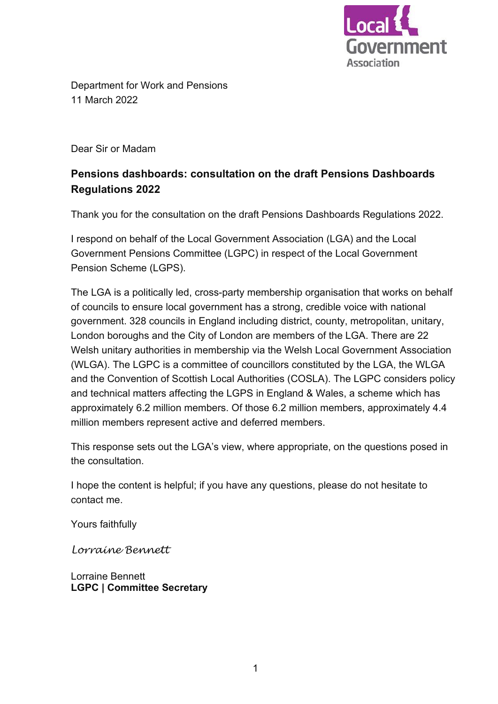

Department for Work and Pensions 11 March 2022

Dear Sir or Madam

# **Pensions dashboards: consultation on the draft Pensions Dashboards Regulations 2022**

Thank you for the consultation on the draft Pensions Dashboards Regulations 2022.

 I respond on behalf of the Local Government Association (LGA) and the Local Government Pensions Committee (LGPC) in respect of the Local Government Pension Scheme (LGPS).

 The LGA is a politically led, cross-party membership organisation that works on behalf of councils to ensure local government has a strong, credible voice with national government. 328 councils in England including district, county, metropolitan, unitary, London boroughs and the City of London are members of the LGA. There are 22 (WLGA). The LGPC is a committee of councillors constituted by the LGA, the WLGA and the Convention of Scottish Local Authorities (COSLA). The LGPC considers policy and technical matters affecting the LGPS in England & Wales, a scheme which has Welsh unitary authorities in membership via the Welsh Local Government Association approximately 6.2 million members. Of those 6.2 million members, approximately 4.4 million members represent active and deferred members.

 This response sets out the LGA's view, where appropriate, on the questions posed in the consultation.

 I hope the content is helpful; if you have any questions, please do not hesitate to contact me.

Yours faithfully

*Lorraine Bennett* 

Lorraine Bennett **LGPC | Committee Secretary**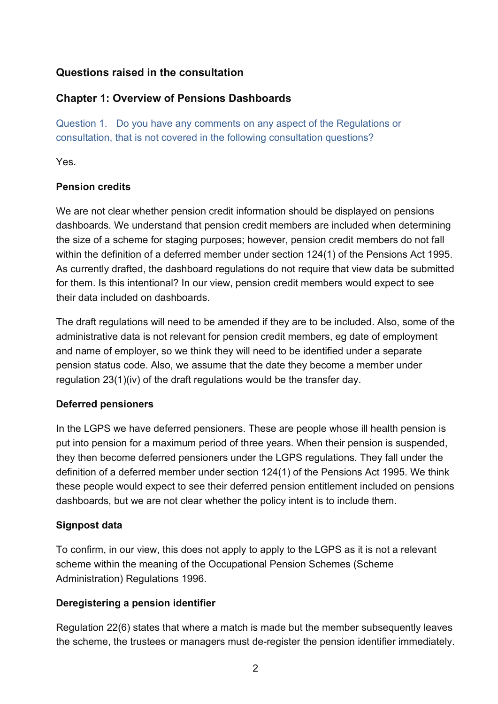# **Questions raised in the consultation**

# **Chapter 1: Overview of Pensions Dashboards**

 Question 1. Do you have any comments on any aspect of the Regulations or consultation, that is not covered in the following consultation questions?

Yes.

## **Pension credits**

 We are not clear whether pension credit information should be displayed on pensions the size of a scheme for staging purposes; however, pension credit members do not fall As currently drafted, the dashboard regulations do not require that view data be submitted dashboards. We understand that pension credit members are included when determining within the definition of a deferred member under section 124(1) of the Pensions Act 1995. for them. Is this intentional? In our view, pension credit members would expect to see their data included on dashboards.

 and name of employer, so we think they will need to be identified under a separate The draft regulations will need to be amended if they are to be included. Also, some of the administrative data is not relevant for pension credit members, eg date of employment pension status code. Also, we assume that the date they become a member under regulation 23(1)(iv) of the draft regulations would be the transfer day.

# **Deferred pensioners**

 In the LGPS we have deferred pensioners. These are people whose ill health pension is they then become deferred pensioners under the LGPS regulations. They fall under the put into pension for a maximum period of three years. When their pension is suspended, definition of a deferred member under section 124(1) of the Pensions Act 1995. We think these people would expect to see their deferred pension entitlement included on pensions dashboards, but we are not clear whether the policy intent is to include them.

# **Signpost data**

 To confirm, in our view, this does not apply to apply to the LGPS as it is not a relevant scheme within the meaning of the Occupational Pension Schemes (Scheme Administration) Regulations 1996.

# **Deregistering a pension identifier**

 the scheme, the trustees or managers must de-register the pension identifier immediately. Regulation 22(6) states that where a match is made but the member subsequently leaves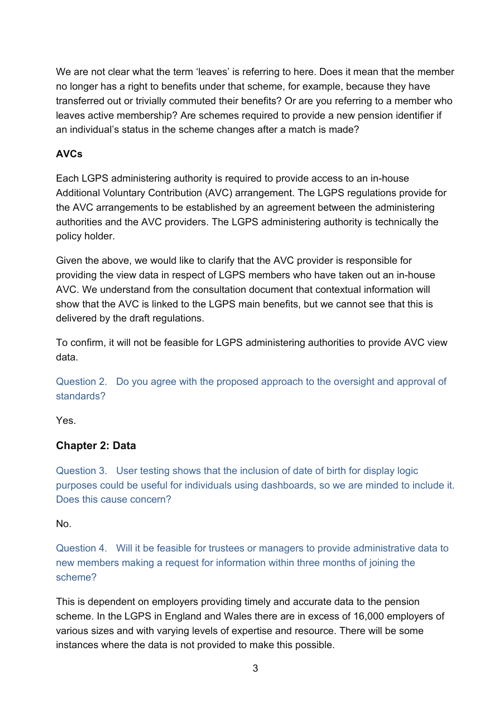We are not clear what the term 'leaves' is referring to here. Does it mean that the member no longer has a right to benefits under that scheme, for example, because they have transferred out or trivially commuted their benefits? Or are you referring to a member who leaves active membership? Are schemes required to provide a new pension identifier if an individual's status in the scheme changes after a match is made?

# **AVCs**

 Each LGPS administering authority is required to provide access to an in-house Additional Voluntary Contribution (AVC) arrangement. The LGPS regulations provide for the AVC arrangements to be established by an agreement between the administering authorities and the AVC providers. The LGPS administering authority is technically the policy holder.

 Given the above, we would like to clarify that the AVC provider is responsible for providing the view data in respect of LGPS members who have taken out an in-house AVC. We understand from the consultation document that contextual information will show that the AVC is linked to the LGPS main benefits, but we cannot see that this is delivered by the draft regulations.

 To confirm, it will not be feasible for LGPS administering authorities to provide AVC view data.

Question 2. Do you agree with the proposed approach to the oversight and approval of standards?

Yes.

# **Chapter 2: Data**

Question 3. User testing shows that the inclusion of date of birth for display logic purposes could be useful for individuals using dashboards, so we are minded to include it. Does this cause concern?

No.

Question 4. Will it be feasible for trustees or managers to provide administrative data to new members making a request for information within three months of joining the scheme?

 scheme. In the LGPS in England and Wales there are in excess of 16,000 employers of various sizes and with varying levels of expertise and resource. There will be some instances where the data is not provided to make this possible. This is dependent on employers providing timely and accurate data to the pension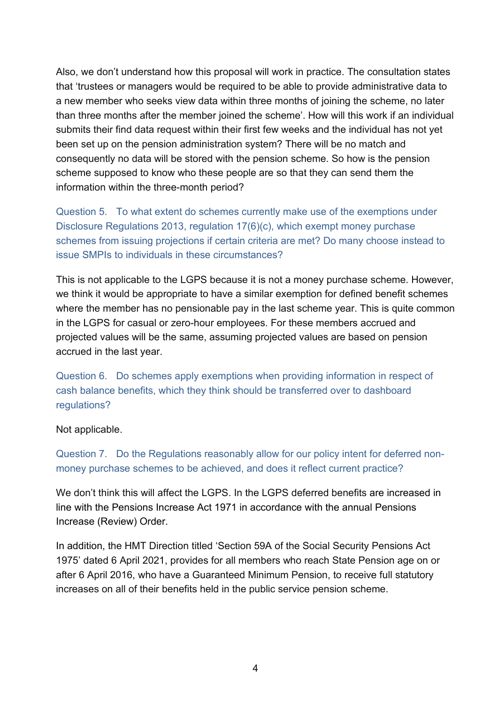Also, we don't understand how this proposal will work in practice. The consultation states a new member who seeks view data within three months of joining the scheme, no later than three months after the member joined the scheme'. How will this work if an individual submits their find data request within their first few weeks and the individual has not yet that 'trustees or managers would be required to be able to provide administrative data to been set up on the pension administration system? There will be no match and consequently no data will be stored with the pension scheme. So how is the pension scheme supposed to know who these people are so that they can send them the information within the three-month period?

 Question 5. To what extent do schemes currently make use of the exemptions under issue SMPIs to individuals in these circumstances? Disclosure Regulations 2013, regulation 17(6)(c), which exempt money purchase schemes from issuing projections if certain criteria are met? Do many choose instead to

 This is not applicable to the LGPS because it is not a money purchase scheme. However, in the LGPS for casual or zero-hour employees. For these members accrued and projected values will be the same, assuming projected values are based on pension we think it would be appropriate to have a similar exemption for defined benefit schemes where the member has no pensionable pay in the last scheme year. This is quite common accrued in the last year.

Question 6. Do schemes apply exemptions when providing information in respect of cash balance benefits, which they think should be transferred over to dashboard regulations?

Not applicable.

Question 7. Do the Regulations reasonably allow for our policy intent for deferred nonmoney purchase schemes to be achieved, and does it reflect current practice?

 We don't think this will affect the LGPS. In the LGPS deferred benefits are increased in line with the Pensions Increase Act 1971 in accordance with the annual Pensions Increase (Review) Order.

 In addition, the HMT Direction titled 'Section 59A of the Social Security Pensions Act 1975' dated 6 April 2021, provides for all members who reach State Pension age on or after 6 April 2016, who have a Guaranteed Minimum Pension, to receive full statutory increases on all of their benefits held in the public service pension scheme.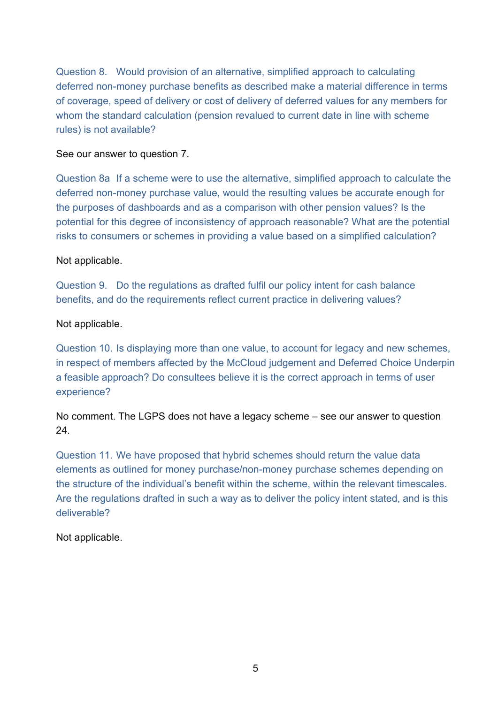of coverage, speed of delivery or cost of delivery of deferred values for any members for Question 8. Would provision of an alternative, simplified approach to calculating deferred non-money purchase benefits as described make a material difference in terms whom the standard calculation (pension revalued to current date in line with scheme rules) is not available?

#### See our answer to question 7.

Question 8a If a scheme were to use the alternative, simplified approach to calculate the deferred non-money purchase value, would the resulting values be accurate enough for the purposes of dashboards and as a comparison with other pension values? Is the potential for this degree of inconsistency of approach reasonable? What are the potential risks to consumers or schemes in providing a value based on a simplified calculation?

#### Not applicable.

Question 9. Do the regulations as drafted fulfil our policy intent for cash balance benefits, and do the requirements reflect current practice in delivering values?

#### Not applicable.

 in respect of members affected by the McCloud judgement and Deferred Choice Underpin a feasible approach? Do consultees believe it is the correct approach in terms of user Question 10. Is displaying more than one value, to account for legacy and new schemes, experience?

 No comment. The LGPS does not have a legacy scheme – see our answer to question 24.

 the structure of the individual's benefit within the scheme, within the relevant timescales. Question 11. We have proposed that hybrid schemes should return the value data elements as outlined for money purchase/non-money purchase schemes depending on Are the regulations drafted in such a way as to deliver the policy intent stated, and is this deliverable?

Not applicable.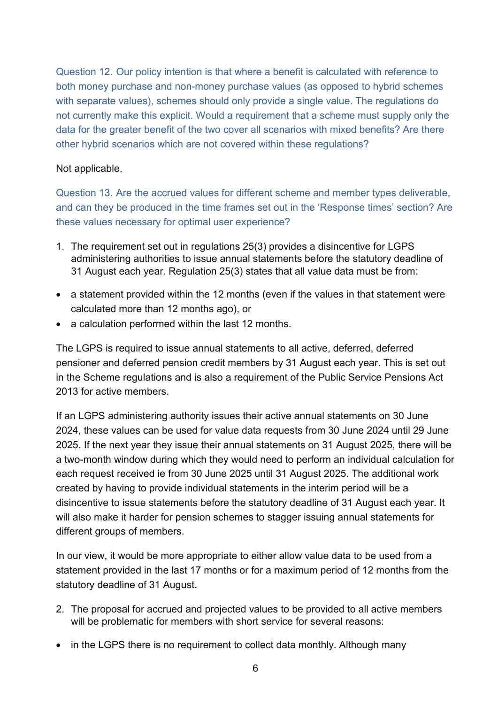both money purchase and non-money purchase values (as opposed to hybrid schemes not currently make this explicit. Would a requirement that a scheme must supply only the Question 12. Our policy intention is that where a benefit is calculated with reference to with separate values), schemes should only provide a single value. The regulations do data for the greater benefit of the two cover all scenarios with mixed benefits? Are there other hybrid scenarios which are not covered within these regulations?

#### Not applicable.

Question 13. Are the accrued values for different scheme and member types deliverable, and can they be produced in the time frames set out in the 'Response times' section? Are these values necessary for optimal user experience?

- 1. The requirement set out in regulations 25(3) provides a disincentive for LGPS administering authorities to issue annual statements before the statutory deadline of 31 August each year. Regulation 25(3) states that all value data must be from:
- a statement provided within the 12 months (even if the values in that statement were calculated more than 12 months ago), or
- a calculation performed within the last 12 months.

 The LGPS is required to issue annual statements to all active, deferred, deferred pensioner and deferred pension credit members by 31 August each year. This is set out in the Scheme regulations and is also a requirement of the Public Service Pensions Act 2013 for active members.

 2025. If the next year they issue their annual statements on 31 August 2025, there will be will also make it harder for pension schemes to stagger issuing annual statements for If an LGPS administering authority issues their active annual statements on 30 June 2024, these values can be used for value data requests from 30 June 2024 until 29 June a two-month window during which they would need to perform an individual calculation for each request received ie from 30 June 2025 until 31 August 2025. The additional work created by having to provide individual statements in the interim period will be a disincentive to issue statements before the statutory deadline of 31 August each year. It different groups of members.

 statement provided in the last 17 months or for a maximum period of 12 months from the In our view, it would be more appropriate to either allow value data to be used from a statutory deadline of 31 August.

- 2. The proposal for accrued and projected values to be provided to all active members will be problematic for members with short service for several reasons:
- in the LGPS there is no requirement to collect data monthly. Although many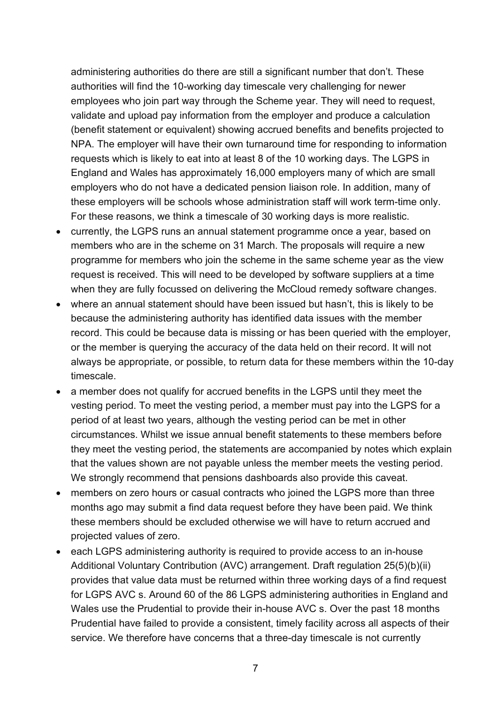authorities will find the 10-working day timescale very challenging for newer NPA. The employer will have their own turnaround time for responding to information requests which is likely to eat into at least 8 of the 10 working days. The LGPS in England and Wales has approximately 16,000 employers many of which are small For these reasons, we think a timescale of 30 working days is more realistic. administering authorities do there are still a significant number that don't. These employees who join part way through the Scheme year. They will need to request, validate and upload pay information from the employer and produce a calculation (benefit statement or equivalent) showing accrued benefits and benefits projected to employers who do not have a dedicated pension liaison role. In addition, many of these employers will be schools whose administration staff will work term-time only.

- • currently, the LGPS runs an annual statement programme once a year, based on members who are in the scheme on 31 March. The proposals will require a new programme for members who join the scheme in the same scheme year as the view request is received. This will need to be developed by software suppliers at a time when they are fully focussed on delivering the McCloud remedy software changes.
- where an annual statement should have been issued but hasn't, this is likely to be because the administering authority has identified data issues with the member record. This could be because data is missing or has been queried with the employer, or the member is querying the accuracy of the data held on their record. It will not always be appropriate, or possible, to return data for these members within the 10-day timescale.
- vesting period. To meet the vesting period, a member must pay into the LGPS for a they meet the vesting period, the statements are accompanied by notes which explain We strongly recommend that pensions dashboards also provide this caveat. • a member does not qualify for accrued benefits in the LGPS until they meet the period of at least two years, although the vesting period can be met in other circumstances. Whilst we issue annual benefit statements to these members before that the values shown are not payable unless the member meets the vesting period.
- • members on zero hours or casual contracts who joined the LGPS more than three projected values of zero. months ago may submit a find data request before they have been paid. We think these members should be excluded otherwise we will have to return accrued and
- • each LGPS administering authority is required to provide access to an in-house Additional Voluntary Contribution (AVC) arrangement. Draft regulation 25(5)(b)(ii) for LGPS AVC s. Around 60 of the 86 LGPS administering authorities in England and Wales use the Prudential to provide their in-house AVC s. Over the past 18 months Prudential have failed to provide a consistent, timely facility across all aspects of their provides that value data must be returned within three working days of a find request service. We therefore have concerns that a three-day timescale is not currently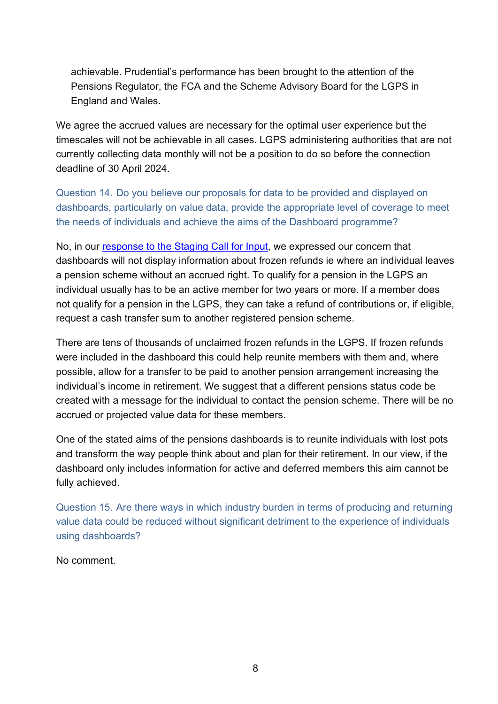Pensions Regulator, the FCA and the Scheme Advisory Board for the LGPS in achievable. Prudential's performance has been brought to the attention of the England and Wales.

 We agree the accrued values are necessary for the optimal user experience but the timescales will not be achievable in all cases. LGPS administering authorities that are not currently collecting data monthly will not be a position to do so before the connection deadline of 30 April 2024.

Question 14. Do you believe our proposals for data to be provided and displayed on dashboards, particularly on value data, provide the appropriate level of coverage to meet the needs of individuals and achieve the aims of the Dashboard programme?

 a pension scheme without an accrued right. To qualify for a pension in the LGPS an individual usually has to be an active member for two years or more. If a member does not qualify for a pension in the LGPS, they can take a refund of contributions or, if eligible, No, in our [response to the Staging Call for Input,](https://lgpslibrary.org/assets/cons/nonscheme/20210709_PDP_Staging_R.pdf) we expressed our concern that dashboards will not display information about frozen refunds ie where an individual leaves request a cash transfer sum to another registered pension scheme.

 There are tens of thousands of unclaimed frozen refunds in the LGPS. If frozen refunds were included in the dashboard this could help reunite members with them and, where possible, allow for a transfer to be paid to another pension arrangement increasing the individual's income in retirement. We suggest that a different pensions status code be created with a message for the individual to contact the pension scheme. There will be no accrued or projected value data for these members.

One of the stated aims of the pensions dashboards is to reunite individuals with lost pots and transform the way people think about and plan for their retirement. In our view, if the dashboard only includes information for active and deferred members this aim cannot be fully achieved.

Question 15. Are there ways in which industry burden in terms of producing and returning value data could be reduced without significant detriment to the experience of individuals using dashboards?

No comment.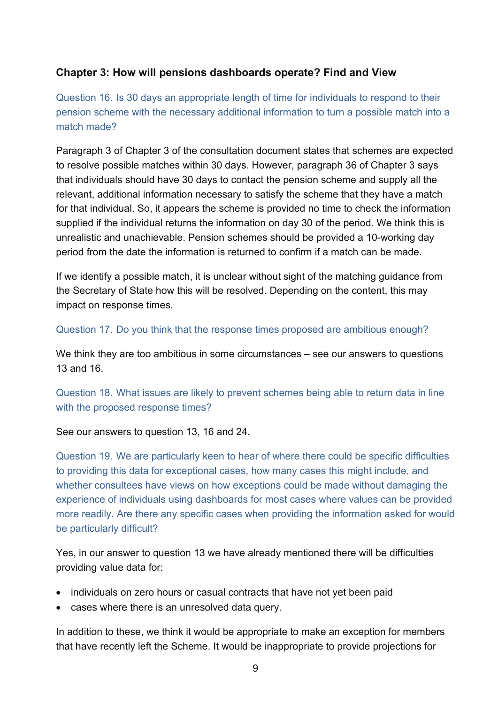# **Chapter 3: How will pensions dashboards operate? Find and View**

Question 16. Is 30 days an appropriate length of time for individuals to respond to their pension scheme with the necessary additional information to turn a possible match into a match made?

Paragraph 3 of Chapter 3 of the consultation document states that schemes are expected to resolve possible matches within 30 days. However, paragraph 36 of Chapter 3 says that individuals should have 30 days to contact the pension scheme and supply all the relevant, additional information necessary to satisfy the scheme that they have a match for that individual. So, it appears the scheme is provided no time to check the information supplied if the individual returns the information on day 30 of the period. We think this is unrealistic and unachievable. Pension schemes should be provided a 10-working day period from the date the information is returned to confirm if a match can be made.

If we identify a possible match, it is unclear without sight of the matching guidance from the Secretary of State how this will be resolved. Depending on the content, this may impact on response times.

Question 17. Do you think that the response times proposed are ambitious enough?

 We think they are too ambitious in some circumstances – see our answers to questions 13 and 16.

Question 18. What issues are likely to prevent schemes being able to return data in line with the proposed response times?

## See our answers to question 13, 16 and 24.

 Question 19. We are particularly keen to hear of where there could be specific difficulties whether consultees have views on how exceptions could be made without damaging the to providing this data for exceptional cases, how many cases this might include, and experience of individuals using dashboards for most cases where values can be provided more readily. Are there any specific cases when providing the information asked for would be particularly difficult?

 Yes, in our answer to question 13 we have already mentioned there will be difficulties providing value data for:

- individuals on zero hours or casual contracts that have not yet been paid
- cases where there is an unresolved data query.

 In addition to these, we think it would be appropriate to make an exception for members that have recently left the Scheme. It would be inappropriate to provide projections for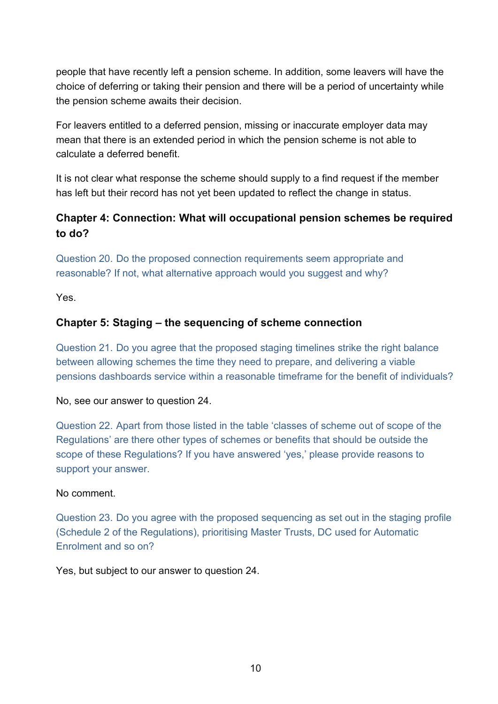people that have recently left a pension scheme. In addition, some leavers will have the choice of deferring or taking their pension and there will be a period of uncertainty while the pension scheme awaits their decision.

 For leavers entitled to a deferred pension, missing or inaccurate employer data may mean that there is an extended period in which the pension scheme is not able to calculate a deferred benefit.

 has left but their record has not yet been updated to reflect the change in status. It is not clear what response the scheme should supply to a find request if the member

# **Chapter 4: Connection: What will occupational pension schemes be required to do?**

Question 20. Do the proposed connection requirements seem appropriate and reasonable? If not, what alternative approach would you suggest and why?

Yes.

# **Chapter 5: Staging – the sequencing of scheme connection**

Question 21. Do you agree that the proposed staging timelines strike the right balance between allowing schemes the time they need to prepare, and delivering a viable pensions dashboards service within a reasonable timeframe for the benefit of individuals?

No, see our answer to question 24.

 Question 22. Apart from those listed in the table 'classes of scheme out of scope of the Regulations' are there other types of schemes or benefits that should be outside the scope of these Regulations? If you have answered 'yes,' please provide reasons to support your answer.

## No comment.

 (Schedule 2 of the Regulations), prioritising Master Trusts, DC used for Automatic Question 23. Do you agree with the proposed sequencing as set out in the staging profile Enrolment and so on?

Yes, but subject to our answer to question 24.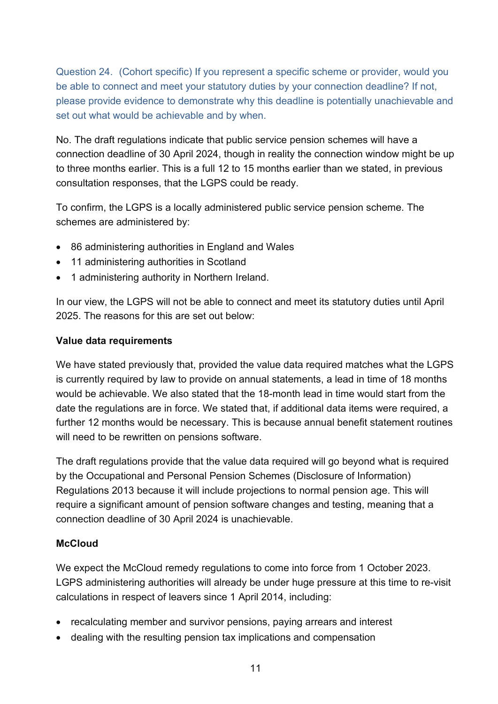Question 24. (Cohort specific) If you represent a specific scheme or provider, would you be able to connect and meet your statutory duties by your connection deadline? If not, please provide evidence to demonstrate why this deadline is potentially unachievable and set out what would be achievable and by when.

 connection deadline of 30 April 2024, though in reality the connection window might be up consultation responses, that the LGPS could be ready. No. The draft regulations indicate that public service pension schemes will have a to three months earlier. This is a full 12 to 15 months earlier than we stated, in previous

 To confirm, the LGPS is a locally administered public service pension scheme. The schemes are administered by:

- 86 administering authorities in England and Wales
- 11 administering authorities in Scotland
- 1 administering authority in Northern Ireland.

 In our view, the LGPS will not be able to connect and meet its statutory duties until April 2025. The reasons for this are set out below:

#### **Value data requirements**

 We have stated previously that, provided the value data required matches what the LGPS is currently required by law to provide on annual statements, a lead in time of 18 months would be achievable. We also stated that the 18-month lead in time would start from the date the regulations are in force. We stated that, if additional data items were required, a further 12 months would be necessary. This is because annual benefit statement routines will need to be rewritten on pensions software.

 The draft regulations provide that the value data required will go beyond what is required require a significant amount of pension software changes and testing, meaning that a by the Occupational and Personal Pension Schemes (Disclosure of Information) Regulations 2013 because it will include projections to normal pension age. This will connection deadline of 30 April 2024 is unachievable.

## **McCloud**

 We expect the McCloud remedy regulations to come into force from 1 October 2023. LGPS administering authorities will already be under huge pressure at this time to re-visit calculations in respect of leavers since 1 April 2014, including:

- recalculating member and survivor pensions, paying arrears and interest
- dealing with the resulting pension tax implications and compensation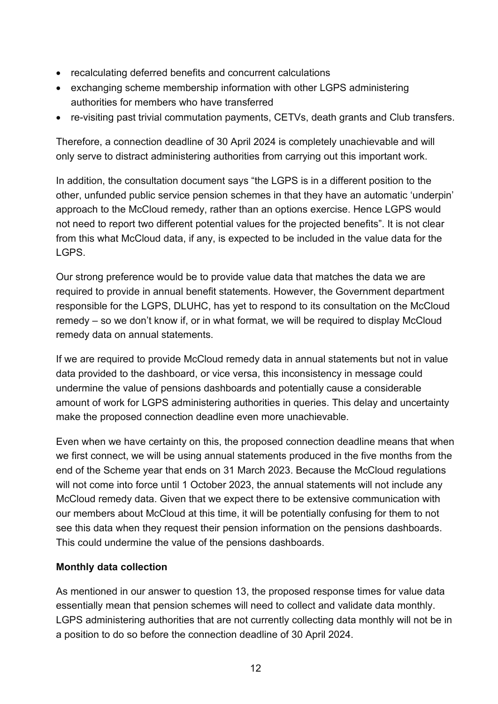- recalculating deferred benefits and concurrent calculations
- • exchanging scheme membership information with other LGPS administering authorities for members who have transferred
- re-visiting past trivial commutation payments, CETVs, death grants and Club transfers.

Therefore, a connection deadline of 30 April 2024 is completely unachievable and will only serve to distract administering authorities from carrying out this important work.

 In addition, the consultation document says "the LGPS is in a different position to the approach to the McCloud remedy, rather than an options exercise. Hence LGPS would LGPS. other, unfunded public service pension schemes in that they have an automatic 'underpin' not need to report two different potential values for the projected benefits". It is not clear from this what McCloud data, if any, is expected to be included in the value data for the

 responsible for the LGPS, DLUHC, has yet to respond to its consultation on the McCloud remedy – so we don't know if, or in what format, we will be required to display McCloud Our strong preference would be to provide value data that matches the data we are required to provide in annual benefit statements. However, the Government department remedy data on annual statements.

 If we are required to provide McCloud remedy data in annual statements but not in value amount of work for LGPS administering authorities in queries. This delay and uncertainty data provided to the dashboard, or vice versa, this inconsistency in message could undermine the value of pensions dashboards and potentially cause a considerable make the proposed connection deadline even more unachievable.

 Even when we have certainty on this, the proposed connection deadline means that when we first connect, we will be using annual statements produced in the five months from the our members about McCloud at this time, it will be potentially confusing for them to not end of the Scheme year that ends on 31 March 2023. Because the McCloud regulations will not come into force until 1 October 2023, the annual statements will not include any McCloud remedy data. Given that we expect there to be extensive communication with see this data when they request their pension information on the pensions dashboards. This could undermine the value of the pensions dashboards.

## **Monthly data collection**

 LGPS administering authorities that are not currently collecting data monthly will not be in As mentioned in our answer to question 13, the proposed response times for value data essentially mean that pension schemes will need to collect and validate data monthly. a position to do so before the connection deadline of 30 April 2024.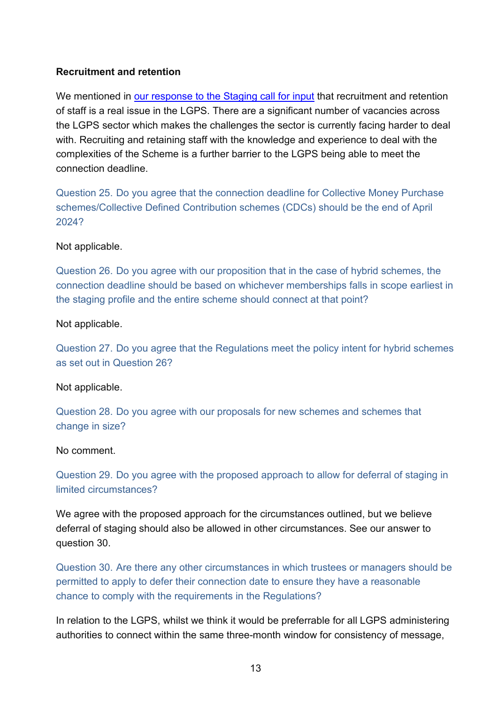### **Recruitment and retention**

 of staff is a real issue in the LGPS. There are a significant number of vacancies across the LGPS sector which makes the challenges the sector is currently facing harder to deal complexities of the Scheme is a further barrier to the LGPS being able to meet the We mentioned in [our response to the Staging call for input](https://lgpslibrary.org/assets/cons/nonscheme/20210709_PDP_Staging_R.pdf) that recruitment and retention with. Recruiting and retaining staff with the knowledge and experience to deal with the connection deadline.

Question 25. Do you agree that the connection deadline for Collective Money Purchase schemes/Collective Defined Contribution schemes (CDCs) should be the end of April 2024?

#### Not applicable.

Question 26. Do you agree with our proposition that in the case of hybrid schemes, the connection deadline should be based on whichever memberships falls in scope earliest in the staging profile and the entire scheme should connect at that point?

#### Not applicable.

Question 27. Do you agree that the Regulations meet the policy intent for hybrid schemes as set out in Question 26?

#### Not applicable.

Question 28. Do you agree with our proposals for new schemes and schemes that change in size?

#### No comment.

Question 29. Do you agree with the proposed approach to allow for deferral of staging in limited circumstances?

We agree with the proposed approach for the circumstances outlined, but we believe deferral of staging should also be allowed in other circumstances. See our answer to question 30.

Question 30. Are there any other circumstances in which trustees or managers should be permitted to apply to defer their connection date to ensure they have a reasonable chance to comply with the requirements in the Regulations?

 In relation to the LGPS, whilst we think it would be preferrable for all LGPS administering authorities to connect within the same three-month window for consistency of message,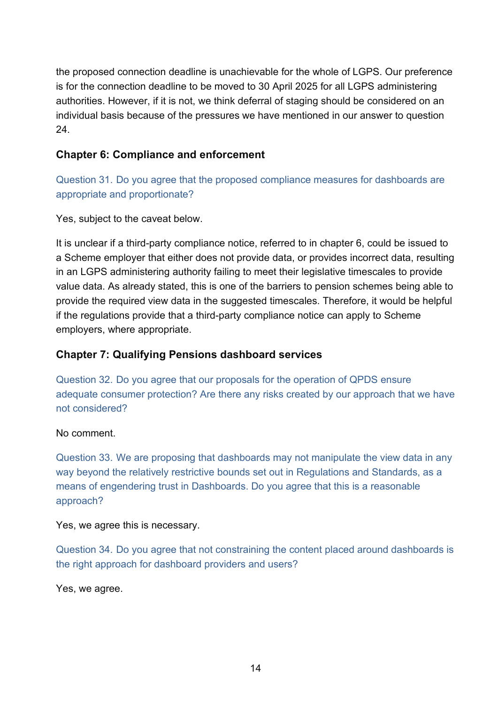the proposed connection deadline is unachievable for the whole of LGPS. Our preference is for the connection deadline to be moved to 30 April 2025 for all LGPS administering authorities. However, if it is not, we think deferral of staging should be considered on an individual basis because of the pressures we have mentioned in our answer to question 24.

# **Chapter 6: Compliance and enforcement**

Question 31. Do you agree that the proposed compliance measures for dashboards are appropriate and proportionate?

Yes, subject to the caveat below.

 It is unclear if a third-party compliance notice, referred to in chapter 6, could be issued to in an LGPS administering authority failing to meet their legislative timescales to provide a Scheme employer that either does not provide data, or provides incorrect data, resulting value data. As already stated, this is one of the barriers to pension schemes being able to provide the required view data in the suggested timescales. Therefore, it would be helpful if the regulations provide that a third-party compliance notice can apply to Scheme employers, where appropriate.

# **Chapter 7: Qualifying Pensions dashboard services**

 Question 32. Do you agree that our proposals for the operation of QPDS ensure adequate consumer protection? Are there any risks created by our approach that we have not considered?

## No comment.

Question 33. We are proposing that dashboards may not manipulate the view data in any way beyond the relatively restrictive bounds set out in Regulations and Standards, as a means of engendering trust in Dashboards. Do you agree that this is a reasonable approach?

#### Yes, we agree this is necessary.

 Question 34. Do you agree that not constraining the content placed around dashboards is the right approach for dashboard providers and users?

Yes, we agree.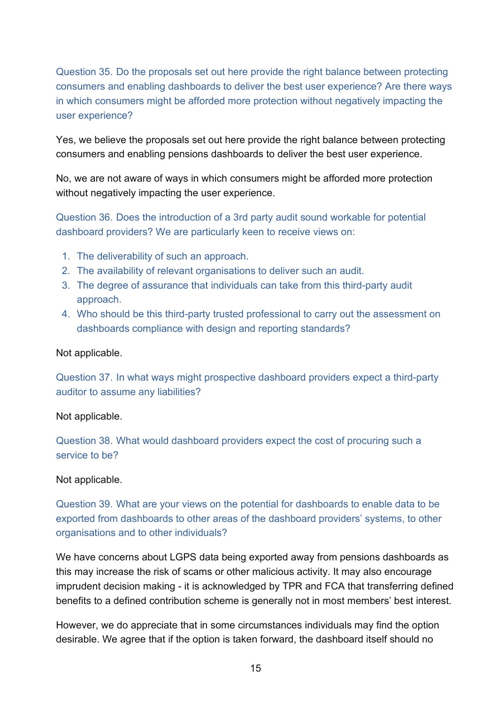in which consumers might be afforded more protection without negatively impacting the Question 35. Do the proposals set out here provide the right balance between protecting consumers and enabling dashboards to deliver the best user experience? Are there ways user experience?

 consumers and enabling pensions dashboards to deliver the best user experience. Yes, we believe the proposals set out here provide the right balance between protecting

No, we are not aware of ways in which consumers might be afforded more protection without negatively impacting the user experience.

Question 36. Does the introduction of a 3rd party audit sound workable for potential dashboard providers? We are particularly keen to receive views on:

- 1. The deliverability of such an approach.
- 2. The availability of relevant organisations to deliver such an audit.
- 3. The degree of assurance that individuals can take from this third-party audit approach.
- 4. Who should be this third-party trusted professional to carry out the assessment on dashboards compliance with design and reporting standards?

#### Not applicable.

Question 37. In what ways might prospective dashboard providers expect a third-party auditor to assume any liabilities?

#### Not applicable.

Question 38. What would dashboard providers expect the cost of procuring such a service to be?

#### Not applicable.

Question 39. What are your views on the potential for dashboards to enable data to be exported from dashboards to other areas of the dashboard providers' systems, to other organisations and to other individuals?

 We have concerns about LGPS data being exported away from pensions dashboards as this may increase the risk of scams or other malicious activity. It may also encourage imprudent decision making - it is acknowledged by TPR and FCA that transferring defined benefits to a defined contribution scheme is generally not in most members' best interest.

 desirable. We agree that if the option is taken forward, the dashboard itself should no However, we do appreciate that in some circumstances individuals may find the option